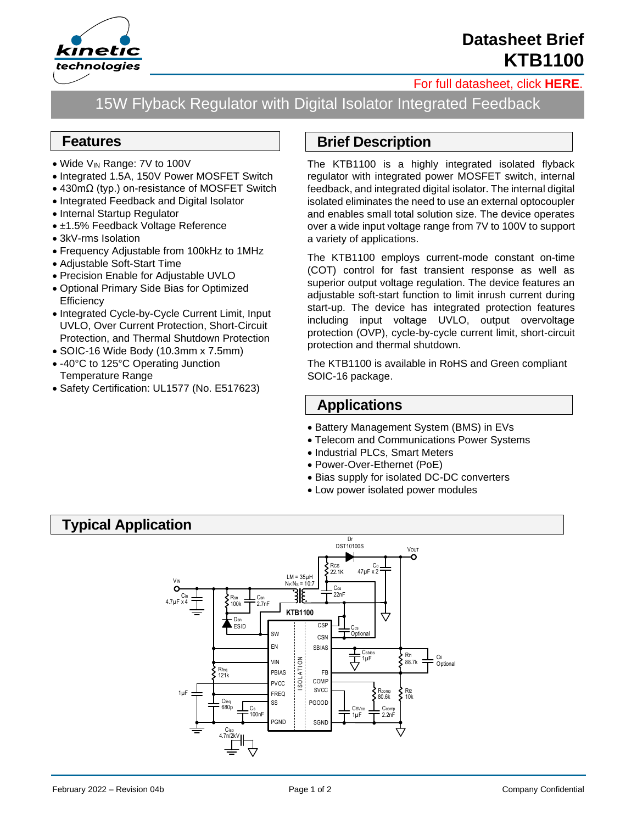

# **Datasheet Brief KTB1100**

#### [For full datasheet, click](https://www.kinet-ic.com/sample-buy/request-document/?part=KTB1100%20Full%20Datasheet) **HERE**.

15W Flyback Regulator with Digital Isolator Integrated Feedback

#### **Features**

- Wide V<sub>IN</sub> Range: 7V to 100V
- Integrated 1.5A, 150V Power MOSFET Switch
- 430mΩ (typ.) on-resistance of MOSFET Switch
- Integrated Feedback and Digital Isolator
- Internal Startup Regulator
- ±1.5% Feedback Voltage Reference
- 3kV-rms Isolation
- Frequency Adjustable from 100kHz to 1MHz
- Adjustable Soft-Start Time
- Precision Enable for Adjustable UVLO
- Optional Primary Side Bias for Optimized **Efficiency**
- Integrated Cycle-by-Cycle Current Limit, Input UVLO, Over Current Protection, Short-Circuit Protection, and Thermal Shutdown Protection
- SOIC-16 Wide Body (10.3mm x 7.5mm)
- -40°C to 125°C Operating Junction Temperature Range
- Safety Certification: UL1577 (No. E517623)

### **Brief Description**

The KTB1100 is a highly integrated isolated flyback regulator with integrated power MOSFET switch, internal feedback, and integrated digital isolator. The internal digital isolated eliminates the need to use an external optocoupler and enables small total solution size. The device operates over a wide input voltage range from 7V to 100V to support a variety of applications.

The KTB1100 employs current-mode constant on-time (COT) control for fast transient response as well as superior output voltage regulation. The device features an adjustable soft-start function to limit inrush current during start-up. The device has integrated protection features including input voltage UVLO, output overvoltage protection (OVP), cycle-by-cycle current limit, short-circuit protection and thermal shutdown.

The KTB1100 is available in RoHS and Green compliant SOIC-16 package.

### **Applications**

- Battery Management System (BMS) in EVs
- Telecom and Communications Power Systems
- Industrial PLCs, Smart Meters
- Power-Over-Ethernet (PoE)
- Bias supply for isolated DC-DC converters
- Low power isolated power modules

## **Typical Application**